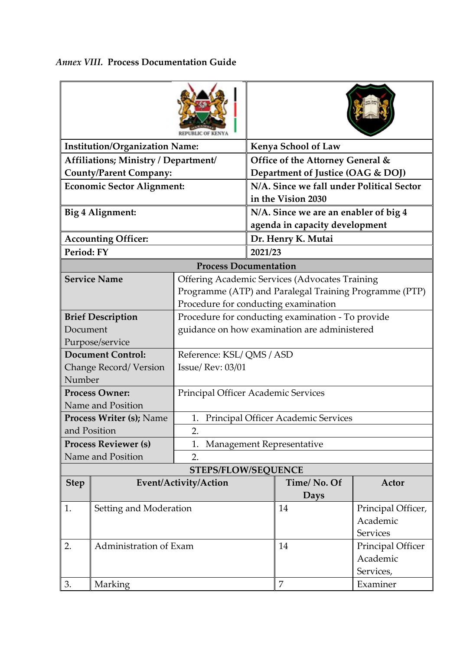| <b>Institution/Organization Name:</b> |                          |                                                                                                                                                         | <b>Kenya School of Law</b>                                              |             |                                                   |  |  |  |
|---------------------------------------|--------------------------|---------------------------------------------------------------------------------------------------------------------------------------------------------|-------------------------------------------------------------------------|-------------|---------------------------------------------------|--|--|--|
| Affiliations; Ministry / Department/  |                          |                                                                                                                                                         | Office of the Attorney General &                                        |             |                                                   |  |  |  |
| <b>County/Parent Company:</b>         |                          |                                                                                                                                                         | Department of Justice (OAG & DOJ)                                       |             |                                                   |  |  |  |
| <b>Economic Sector Alignment:</b>     |                          |                                                                                                                                                         | N/A. Since we fall under Political Sector<br>in the Vision 2030         |             |                                                   |  |  |  |
| Big 4 Alignment:                      |                          |                                                                                                                                                         | N/A. Since we are an enabler of big 4<br>agenda in capacity development |             |                                                   |  |  |  |
| <b>Accounting Officer:</b>            |                          |                                                                                                                                                         | Dr. Henry K. Mutai                                                      |             |                                                   |  |  |  |
| Period: FY                            |                          |                                                                                                                                                         | 2021/23                                                                 |             |                                                   |  |  |  |
| <b>Process Documentation</b>          |                          |                                                                                                                                                         |                                                                         |             |                                                   |  |  |  |
| <b>Service Name</b>                   |                          | <b>Offering Academic Services (Advocates Training</b><br>Programme (ATP) and Paralegal Training Programme (PTP)<br>Procedure for conducting examination |                                                                         |             |                                                   |  |  |  |
|                                       | <b>Brief Description</b> | Procedure for conducting examination - To provide                                                                                                       |                                                                         |             |                                                   |  |  |  |
| Document                              |                          | guidance on how examination are administered                                                                                                            |                                                                         |             |                                                   |  |  |  |
|                                       | Purpose/service          |                                                                                                                                                         |                                                                         |             |                                                   |  |  |  |
| <b>Document Control:</b>              |                          | Reference: KSL/QMS / ASD                                                                                                                                |                                                                         |             |                                                   |  |  |  |
| Change Record/Version<br>Number       |                          | <b>Issue/ Rev: 03/01</b>                                                                                                                                |                                                                         |             |                                                   |  |  |  |
| <b>Process Owner:</b>                 |                          | Principal Officer Academic Services                                                                                                                     |                                                                         |             |                                                   |  |  |  |
| Name and Position                     |                          |                                                                                                                                                         |                                                                         |             |                                                   |  |  |  |
| <b>Process Writer (s); Name</b>       |                          | 1. Principal Officer Academic Services                                                                                                                  |                                                                         |             |                                                   |  |  |  |
| and Position                          |                          | 2.                                                                                                                                                      |                                                                         |             |                                                   |  |  |  |
| <b>Process Reviewer (s)</b>           |                          | 1.<br>Management Representative                                                                                                                         |                                                                         |             |                                                   |  |  |  |
| Name and Position                     |                          | 2.                                                                                                                                                      |                                                                         |             |                                                   |  |  |  |
| <b>STEPS/FLOW/SEQUENCE</b>            |                          |                                                                                                                                                         |                                                                         |             |                                                   |  |  |  |
| <b>Step</b>                           |                          | Event/Activity/Action                                                                                                                                   |                                                                         | Time/No. Of | Actor                                             |  |  |  |
|                                       |                          |                                                                                                                                                         |                                                                         | Days        |                                                   |  |  |  |
| 1.<br>Setting and Moderation          |                          |                                                                                                                                                         |                                                                         | 14          | Principal Officer,<br>Academic<br><b>Services</b> |  |  |  |
| 2.<br>Administration of Exam          |                          |                                                                                                                                                         |                                                                         | 14          | Principal Officer                                 |  |  |  |
|                                       |                          |                                                                                                                                                         |                                                                         | Academic    |                                                   |  |  |  |
|                                       |                          |                                                                                                                                                         |                                                                         |             | Services,                                         |  |  |  |
| 3.<br>Marking                         |                          |                                                                                                                                                         |                                                                         | 7           | Examiner                                          |  |  |  |

## *Annex VIII.* **Process Documentation Guide**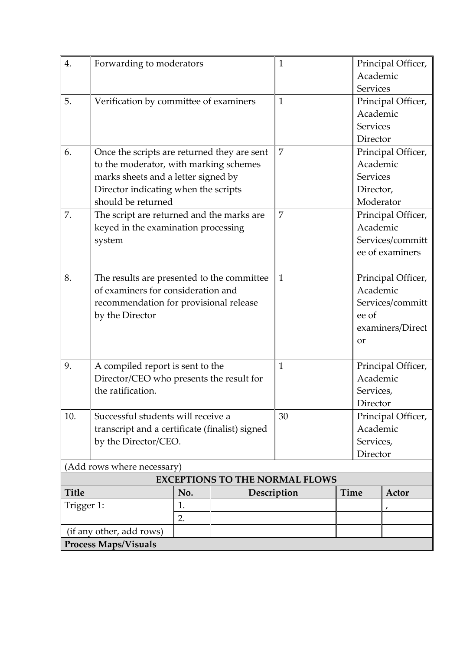| 4.                                    | Forwarding to moderators                                                     | Principal Officer,<br>1 |                  |                     |                 |                    |  |  |  |  |
|---------------------------------------|------------------------------------------------------------------------------|-------------------------|------------------|---------------------|-----------------|--------------------|--|--|--|--|
|                                       |                                                                              |                         |                  |                     | Academic        |                    |  |  |  |  |
|                                       |                                                                              |                         |                  |                     | Services        |                    |  |  |  |  |
| 5.                                    | Verification by committee of examiners                                       |                         |                  | 1                   |                 | Principal Officer, |  |  |  |  |
|                                       |                                                                              |                         |                  |                     | Academic        |                    |  |  |  |  |
|                                       |                                                                              |                         |                  |                     | <b>Services</b> |                    |  |  |  |  |
|                                       |                                                                              |                         |                  | Director            |                 |                    |  |  |  |  |
| 6.                                    | Once the scripts are returned they are sent                                  | 7                       |                  | Principal Officer,  |                 |                    |  |  |  |  |
|                                       | to the moderator, with marking schemes                                       |                         |                  |                     |                 | Academic           |  |  |  |  |
|                                       | marks sheets and a letter signed by                                          |                         |                  |                     | <b>Services</b> |                    |  |  |  |  |
|                                       | Director indicating when the scripts                                         |                         |                  |                     |                 | Director,          |  |  |  |  |
|                                       | should be returned                                                           |                         |                  | Moderator           |                 |                    |  |  |  |  |
| 7.                                    | The script are returned and the marks are                                    |                         |                  | 7                   |                 | Principal Officer, |  |  |  |  |
|                                       | keyed in the examination processing                                          |                         | Academic         |                     |                 |                    |  |  |  |  |
|                                       | system                                                                       |                         |                  |                     |                 | Services/committ   |  |  |  |  |
|                                       |                                                                              |                         |                  | ee of examiners     |                 |                    |  |  |  |  |
|                                       |                                                                              |                         |                  |                     |                 |                    |  |  |  |  |
| 8.                                    | The results are presented to the committee                                   |                         |                  | $\mathbf{1}$        |                 | Principal Officer, |  |  |  |  |
|                                       | of examiners for consideration and                                           |                         | Academic         |                     |                 |                    |  |  |  |  |
|                                       | recommendation for provisional release                                       |                         | Services/committ |                     |                 |                    |  |  |  |  |
|                                       | by the Director                                                              |                         |                  | ee of               |                 |                    |  |  |  |  |
|                                       |                                                                              |                         |                  | examiners/Direct    |                 |                    |  |  |  |  |
|                                       |                                                                              |                         |                  | <b>or</b>           |                 |                    |  |  |  |  |
|                                       |                                                                              |                         |                  |                     |                 |                    |  |  |  |  |
| 9.                                    | A compiled report is sent to the<br>Director/CEO who presents the result for |                         |                  | 1                   |                 | Principal Officer, |  |  |  |  |
|                                       |                                                                              |                         |                  |                     | Academic        |                    |  |  |  |  |
|                                       | the ratification.                                                            |                         |                  |                     | Services,       |                    |  |  |  |  |
|                                       |                                                                              |                         |                  |                     | Director        |                    |  |  |  |  |
| 10.                                   | Successful students will receive a                                           |                         |                  | 30                  |                 | Principal Officer, |  |  |  |  |
|                                       | transcript and a certificate (finalist) signed<br>by the Director/CEO.       |                         |                  |                     |                 | Academic           |  |  |  |  |
|                                       |                                                                              |                         |                  |                     |                 | Services,          |  |  |  |  |
|                                       |                                                                              |                         |                  |                     | Director        |                    |  |  |  |  |
| (Add rows where necessary)            |                                                                              |                         |                  |                     |                 |                    |  |  |  |  |
| <b>EXCEPTIONS TO THE NORMAL FLOWS</b> |                                                                              |                         |                  |                     |                 |                    |  |  |  |  |
| <b>Title</b>                          |                                                                              | No.                     |                  | Time<br>Description |                 | Actor              |  |  |  |  |
| Trigger 1:                            |                                                                              | 1.                      |                  |                     |                 |                    |  |  |  |  |
|                                       |                                                                              | 2.                      |                  |                     |                 |                    |  |  |  |  |
|                                       | (if any other, add rows)                                                     |                         |                  |                     |                 |                    |  |  |  |  |
| <b>Process Maps/Visuals</b>           |                                                                              |                         |                  |                     |                 |                    |  |  |  |  |